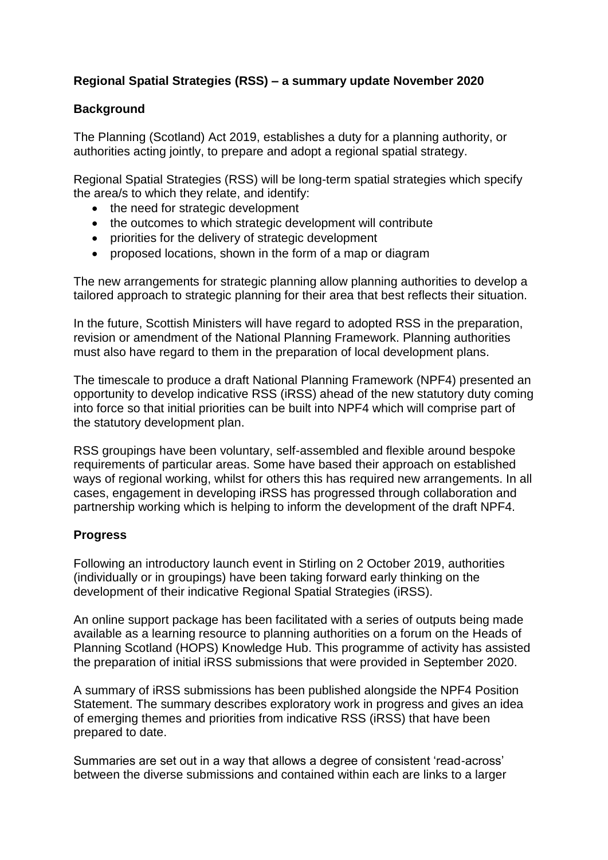# **Regional Spatial Strategies (RSS) – a summary update November 2020**

# **Background**

The Planning (Scotland) Act 2019, establishes a duty for a planning authority, or authorities acting jointly, to prepare and adopt a regional spatial strategy.

Regional Spatial Strategies (RSS) will be long-term spatial strategies which specify the area/s to which they relate, and identify:

- the need for strategic development
- the outcomes to which strategic development will contribute
- priorities for the delivery of strategic development
- proposed locations, shown in the form of a map or diagram

The new arrangements for strategic planning allow planning authorities to develop a tailored approach to strategic planning for their area that best reflects their situation.

In the future, Scottish Ministers will have regard to adopted RSS in the preparation, revision or amendment of the National Planning Framework. Planning authorities must also have regard to them in the preparation of local development plans.

The timescale to produce a draft National Planning Framework (NPF4) presented an opportunity to develop indicative RSS (iRSS) ahead of the new statutory duty coming into force so that initial priorities can be built into NPF4 which will comprise part of the statutory development plan.

RSS groupings have been voluntary, self-assembled and flexible around bespoke requirements of particular areas. Some have based their approach on established ways of regional working, whilst for others this has required new arrangements. In all cases, engagement in developing iRSS has progressed through collaboration and partnership working which is helping to inform the development of the draft NPF4.

# **Progress**

Following an introductory launch event in Stirling on 2 October 2019, authorities (individually or in groupings) have been taking forward early thinking on the development of their indicative Regional Spatial Strategies (iRSS).

An online support package has been facilitated with a series of outputs being made available as a learning resource to planning authorities on a forum on the Heads of Planning Scotland (HOPS) Knowledge Hub. This programme of activity has assisted the preparation of initial iRSS submissions that were provided in September 2020.

A summary of iRSS submissions has been published alongside the NPF4 Position Statement. The summary describes exploratory work in progress and gives an idea of emerging themes and priorities from indicative RSS (iRSS) that have been prepared to date.

Summaries are set out in a way that allows a degree of consistent 'read-across' between the diverse submissions and contained within each are links to a larger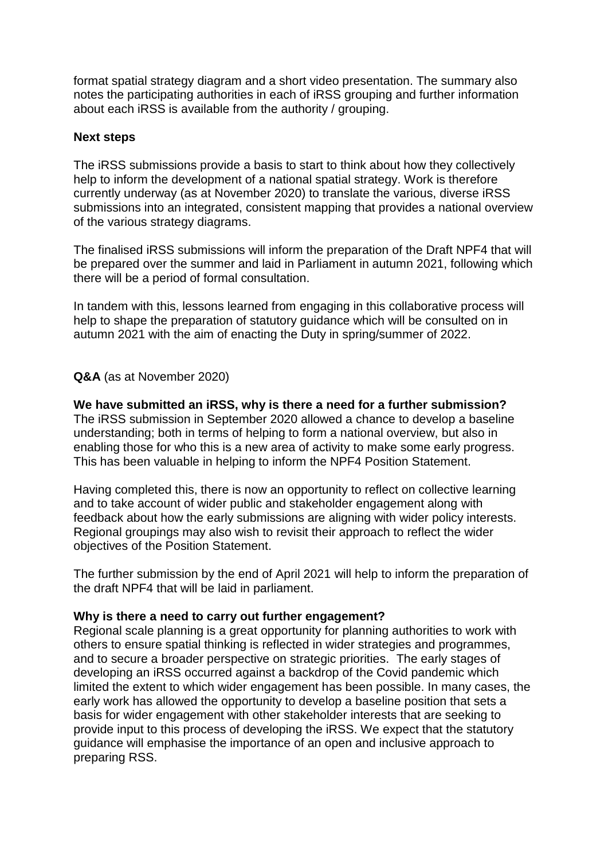format spatial strategy diagram and a short video presentation. The summary also notes the participating authorities in each of iRSS grouping and further information about each iRSS is available from the authority / grouping.

### **Next steps**

The iRSS submissions provide a basis to start to think about how they collectively help to inform the development of a national spatial strategy. Work is therefore currently underway (as at November 2020) to translate the various, diverse iRSS submissions into an integrated, consistent mapping that provides a national overview of the various strategy diagrams.

The finalised iRSS submissions will inform the preparation of the Draft NPF4 that will be prepared over the summer and laid in Parliament in autumn 2021, following which there will be a period of formal consultation.

In tandem with this, lessons learned from engaging in this collaborative process will help to shape the preparation of statutory guidance which will be consulted on in autumn 2021 with the aim of enacting the Duty in spring/summer of 2022.

### **Q&A** (as at November 2020)

**We have submitted an iRSS, why is there a need for a further submission?** The iRSS submission in September 2020 allowed a chance to develop a baseline understanding; both in terms of helping to form a national overview, but also in enabling those for who this is a new area of activity to make some early progress. This has been valuable in helping to inform the NPF4 Position Statement.

Having completed this, there is now an opportunity to reflect on collective learning and to take account of wider public and stakeholder engagement along with feedback about how the early submissions are aligning with wider policy interests. Regional groupings may also wish to revisit their approach to reflect the wider objectives of the Position Statement.

The further submission by the end of April 2021 will help to inform the preparation of the draft NPF4 that will be laid in parliament.

#### **Why is there a need to carry out further engagement?**

Regional scale planning is a great opportunity for planning authorities to work with others to ensure spatial thinking is reflected in wider strategies and programmes, and to secure a broader perspective on strategic priorities. The early stages of developing an iRSS occurred against a backdrop of the Covid pandemic which limited the extent to which wider engagement has been possible. In many cases, the early work has allowed the opportunity to develop a baseline position that sets a basis for wider engagement with other stakeholder interests that are seeking to provide input to this process of developing the iRSS. We expect that the statutory guidance will emphasise the importance of an open and inclusive approach to preparing RSS.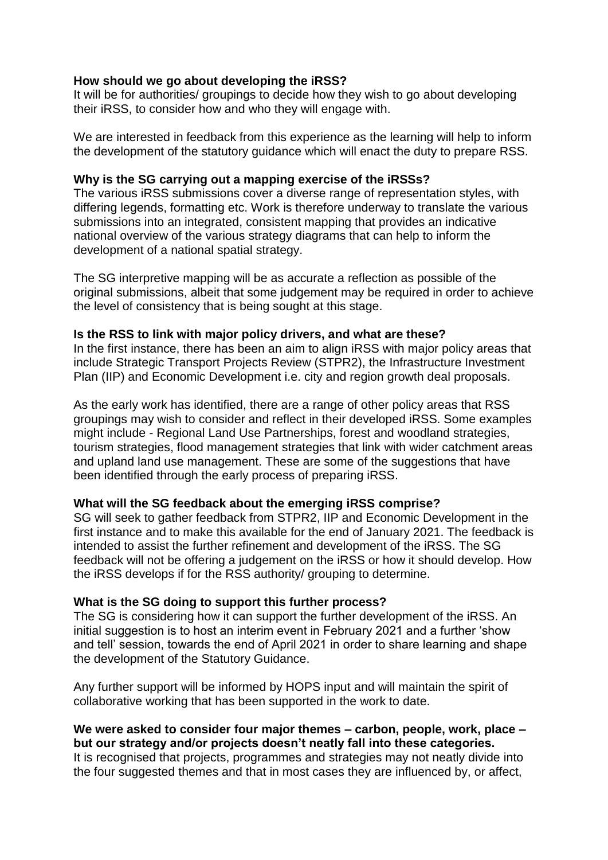# **How should we go about developing the iRSS?**

It will be for authorities/ groupings to decide how they wish to go about developing their iRSS, to consider how and who they will engage with.

We are interested in feedback from this experience as the learning will help to inform the development of the statutory guidance which will enact the duty to prepare RSS.

### **Why is the SG carrying out a mapping exercise of the iRSSs?**

The various iRSS submissions cover a diverse range of representation styles, with differing legends, formatting etc. Work is therefore underway to translate the various submissions into an integrated, consistent mapping that provides an indicative national overview of the various strategy diagrams that can help to inform the development of a national spatial strategy.

The SG interpretive mapping will be as accurate a reflection as possible of the original submissions, albeit that some judgement may be required in order to achieve the level of consistency that is being sought at this stage.

# **Is the RSS to link with major policy drivers, and what are these?**

In the first instance, there has been an aim to align iRSS with major policy areas that include Strategic Transport Projects Review (STPR2), the Infrastructure Investment Plan (IIP) and Economic Development i.e. city and region growth deal proposals.

As the early work has identified, there are a range of other policy areas that RSS groupings may wish to consider and reflect in their developed iRSS. Some examples might include - Regional Land Use Partnerships, forest and woodland strategies, tourism strategies, flood management strategies that link with wider catchment areas and upland land use management. These are some of the suggestions that have been identified through the early process of preparing iRSS.

# **What will the SG feedback about the emerging iRSS comprise?**

SG will seek to gather feedback from STPR2, IIP and Economic Development in the first instance and to make this available for the end of January 2021. The feedback is intended to assist the further refinement and development of the iRSS. The SG feedback will not be offering a judgement on the iRSS or how it should develop. How the iRSS develops if for the RSS authority/ grouping to determine.

#### **What is the SG doing to support this further process?**

The SG is considering how it can support the further development of the iRSS. An initial suggestion is to host an interim event in February 2021 and a further 'show and tell' session, towards the end of April 2021 in order to share learning and shape the development of the Statutory Guidance.

Any further support will be informed by HOPS input and will maintain the spirit of collaborative working that has been supported in the work to date.

# **We were asked to consider four major themes – carbon, people, work, place – but our strategy and/or projects doesn't neatly fall into these categories.**

It is recognised that projects, programmes and strategies may not neatly divide into the four suggested themes and that in most cases they are influenced by, or affect,